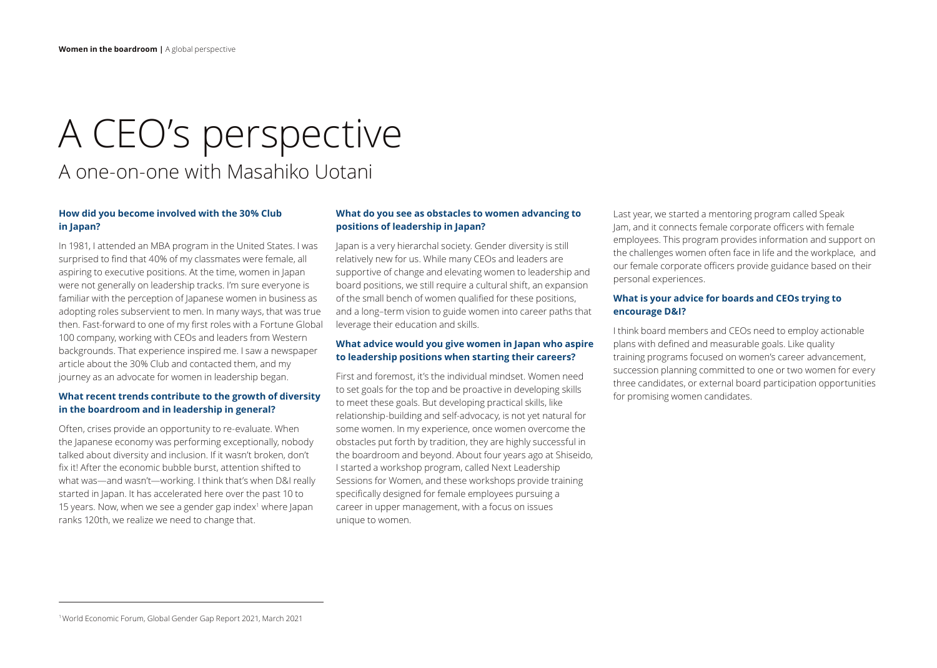# A CEO's perspective A one-on-one with Masahiko Uotani

# **How did you become involved with the 30% Club in Japan?**

In 1981, I attended an MBA program in the United States. I was surprised to find that 40% of my classmates were female, all aspiring to executive positions. At the time, women in Japan were not generally on leadership tracks. I'm sure everyone is familiar with the perception of Japanese women in business as adopting roles subservient to men. In many ways, that was true then. Fast-forward to one of my first roles with a Fortune Global 100 company, working with CEOs and leaders from Western backgrounds. That experience inspired me. I saw a newspaper article about the 30% Club and contacted them, and my journey as an advocate for women in leadership began.

# **What recent trends contribute to the growth of diversity in the boardroom and in leadership in general?**

Often, crises provide an opportunity to re-evaluate. When the Japanese economy was performing exceptionally, nobody talked about diversity and inclusion. If it wasn't broken, don't fix it! After the economic bubble burst, attention shifted to what was—and wasn't—working. I think that's when D&I really started in Japan. It has accelerated here over the past 10 to 15 years. Now, when we see a gender gap index<sup>1</sup> where Japan ranks 120th, we realize we need to change that.

#### **What do you see as obstacles to women advancing to positions of leadership in Japan?**

Japan is a very hierarchal society. Gender diversity is still relatively new for us. While many CEOs and leaders are supportive of change and elevating women to leadership and board positions, we still require a cultural shift, an expansion of the small bench of women qualified for these positions, and a long–term vision to guide women into career paths that leverage their education and skills.

# **What advice would you give women in Japan who aspire to leadership positions when starting their careers?**

First and foremost, it's the individual mindset. Women need to set goals for the top and be proactive in developing skills to meet these goals. But developing practical skills, like relationship-building and self-advocacy, is not yet natural for some women. In my experience, once women overcome the obstacles put forth by tradition, they are highly successful in the boardroom and beyond. About four years ago at Shiseido, I started a workshop program, called Next Leadership Sessions for Women, and these workshops provide training specifically designed for female employees pursuing a career in upper management, with a focus on issues unique to women.

Last year, we started a mentoring program called Speak Jam, and it connects female corporate officers with female employees. This program provides information and support on the challenges women often face in life and the workplace, and our female corporate officers provide guidance based on their personal experiences.

# **What is your advice for boards and CEOs trying to encourage D&I?**

I think board members and CEOs need to employ actionable plans with defined and measurable goals. Like quality training programs focused on women's career advancement, succession planning committed to one or two women for every three candidates, or external board participation opportunities for promising women candidates.

<sup>1</sup> World Economic Forum, Global Gender Gap Report 2021, March 2021